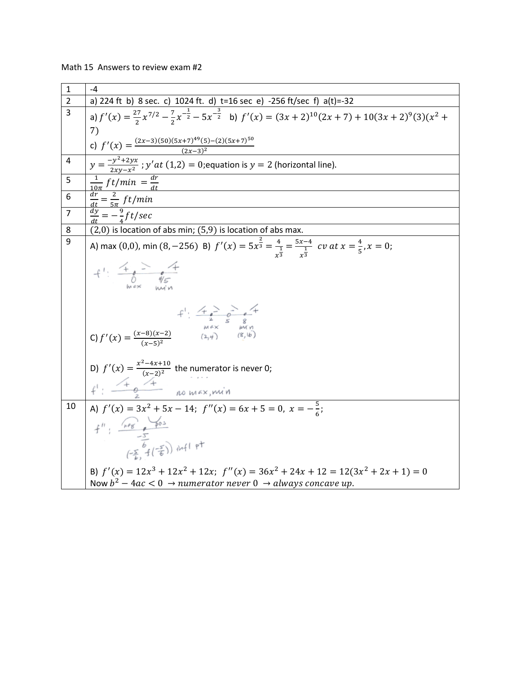| Math 15 Answers to review exam #2 |  |  |  |  |
|-----------------------------------|--|--|--|--|
|-----------------------------------|--|--|--|--|

| $\mathbf{1}$   | -4                                                                                                                                                                                                                                                                   |
|----------------|----------------------------------------------------------------------------------------------------------------------------------------------------------------------------------------------------------------------------------------------------------------------|
| $\overline{2}$ | a) 224 ft b) 8 sec. c) 1024 ft. d) t=16 sec e) -256 ft/sec f) a(t)=-32                                                                                                                                                                                               |
| $\overline{3}$ | a) $f'(x) = \frac{27}{2}x^{7/2} - \frac{7}{2}x^{-\frac{1}{2}} - 5x^{-\frac{3}{2}}$ b) $f'(x) = (3x + 2)^{10}(2x + 7) + 10(3x + 2)^9(3)(x^2 +$                                                                                                                        |
|                | 7)<br>c) $f'(x) = \frac{(2x-3)(50)(5x+7)^{49}(5)-(2)(5x+7)^{50}}{(2x-3)^2}$                                                                                                                                                                                          |
| 4              | $y = \frac{-y^2 + 2yx}{2xy - x^2}$ ; $y'$ at (1,2) = 0; equation is $y = 2$ (horizontal line).                                                                                                                                                                       |
| 5              | $\frac{1}{10\pi} \, ft/min = \frac{dr}{dt}$                                                                                                                                                                                                                          |
| 6              | $\frac{\frac{dr}{dt} = \frac{2}{5\pi} \frac{ft/min}{dt}}{\frac{dy}{dt} = -\frac{9}{4} ft/sec}$                                                                                                                                                                       |
| $\overline{7}$ |                                                                                                                                                                                                                                                                      |
| 8              | (2,0) is location of abs min; (5,9) is location of abs max.                                                                                                                                                                                                          |
| 9              | A) max (0,0), min (8, -256) B) $f'(x) = 5x^{\frac{2}{3}} = \frac{4}{x^{\frac{1}{3}}} = \frac{5x-4}{x^{\frac{1}{3}}}$ cv at $x = \frac{4}{5}$ , $x = 0$ ;                                                                                                             |
|                |                                                                                                                                                                                                                                                                      |
|                | C) $f'(x) = \frac{(x-8)(x-2)}{(x-5)^2}$<br>$f'(x) = \frac{(x-8)(x-2)}{(x-5)^2}$<br>$f'(x) = \frac{(x-8)(x-2)}{(x-5)^2}$                                                                                                                                              |
|                | D) $f'(x) = \frac{x^2-4x+10}{(x-2)^2}$ the numerator is never 0;<br>$f': \frac{4}{x^2}$ no max, min                                                                                                                                                                  |
| 10             | A) $f'(x) = 3x^2 + 5x - 14$ ; $f''(x) = 6x + 5 = 0$ , $x = -\frac{5}{6}$ ;<br>$f''$ : $\frac{heg}{f} = \frac{fos}{f}$<br>$\frac{f}{f} = \frac{f}{f} = \frac{f}{f}$ infl pt<br>B) $f'(x) = 12x^3 + 12x^2 + 12x$ ; $f''(x) = 36x^2 + 24x + 12 = 12(3x^2 + 2x + 1) = 0$ |
|                | Now $b^2 - 4ac < 0 \rightarrow numerator$ never $0 \rightarrow always$ concave up.                                                                                                                                                                                   |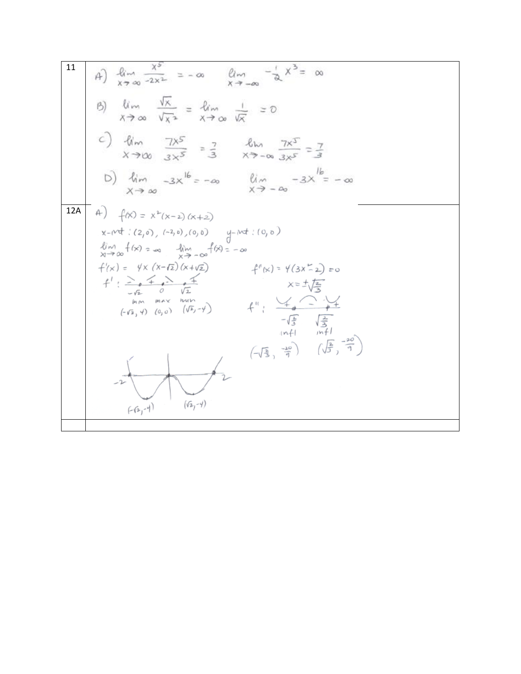11  
\nA) 
$$
\lim_{x \to \infty} \frac{x^{5}}{2x^{2}} = -\infty
$$
  $\lim_{x \to -\infty} \frac{-1}{2}x^{3} = \infty$   
\nB)  $\lim_{x \to \infty} \frac{\sqrt{x}}{1 + \sqrt{x}} = \lim_{x \to \infty} \frac{1}{\sqrt{x}} = 0$   
\nC)  $\lim_{x \to \infty} \frac{7x^{5}}{3x^{5}} = \frac{7}{3}$   $\lim_{x \to -\infty} \frac{7x^{5}}{3x^{5}} = \frac{7}{3}$   
\nD)  $\lim_{x \to \infty} \frac{-3x^{16} = -\infty}{x^{3} - \infty}$   $\lim_{x \to -\infty} \frac{-3x^{16} = -\infty}{x^{3} - \infty}$   
\n12A  
\nA)  $f(x) = x^{2}(x-2)(x+2)$   
\n $x - \text{wt} : (2,0), (-2,0), (0,0)$   $y - \text{wt} : (0,0)$   
\n $\lim_{x \to \infty} f(x) = \lim_{x \to \infty} \lim_{x \to \infty} \lim_{x \to \infty} \frac{f(x) = -\infty}{x^{2} + \frac{1}{\sqrt{2}}}$   
\n $f'(x) = \lim_{x \to \infty} \lim_{x \to \infty} \lim_{x \to \infty} \lim_{x \to \infty} \lim_{x \to \infty} \lim_{x \to \infty} \lim_{x \to \infty} \lim_{x \to \infty} \lim_{x \to \infty} \lim_{x \to \infty} \lim_{x \to \infty} \lim_{x \to \infty} \lim_{x \to \infty} \lim_{x \to \infty} \lim_{x \to \infty} \lim_{x \to \infty} \lim_{x \to \infty} \lim_{x \to \infty} \lim_{x \to \infty} \lim_{x \to \infty} \lim_{x \to \infty} \lim_{x \to \infty} \lim_{x \to \infty} \lim_{x \to \infty} \lim_{x \to \infty} \lim_{x \to \infty} \lim_{x \to \infty} \lim_{x \to \infty} \lim_{x \to \infty} \lim_{x \to \infty} \lim_{x \to \infty$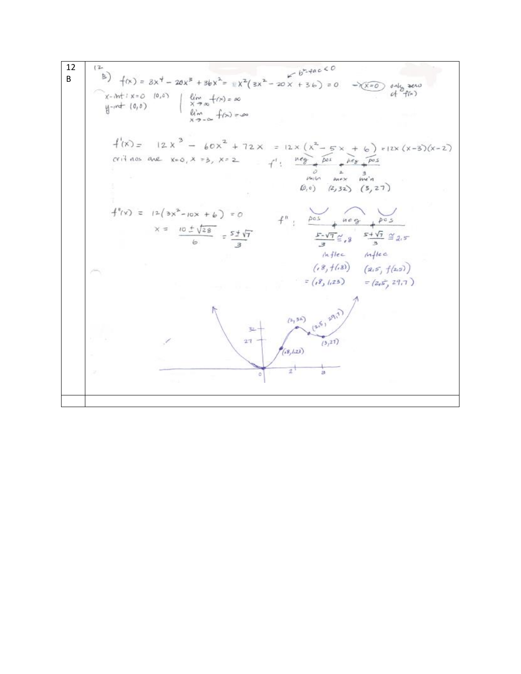12B